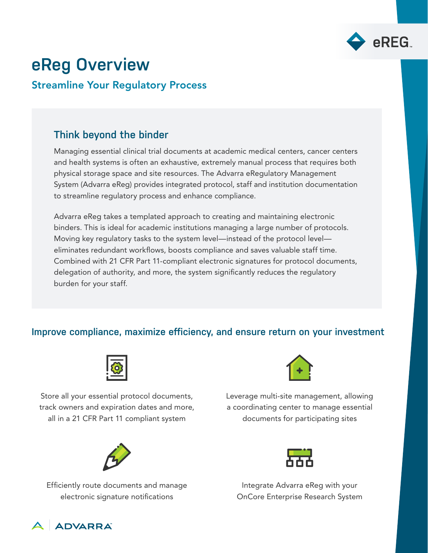

# **eReg Overview**

#### Streamline Your Regulatory Process

### **Think beyond the binder**

Managing essential clinical trial documents at academic medical centers, cancer centers and health systems is often an exhaustive, extremely manual process that requires both physical storage space and site resources. The Advarra eRegulatory Management System (Advarra eReg) provides integrated protocol, staff and institution documentation to streamline regulatory process and enhance compliance.

Advarra eReg takes a templated approach to creating and maintaining electronic binders. This is ideal for academic institutions managing a large number of protocols. Moving key regulatory tasks to the system level—instead of the protocol level eliminates redundant workflows, boosts compliance and saves valuable staff time. Combined with 21 CFR Part 11-compliant electronic signatures for protocol documents, delegation of authority, and more, the system significantly reduces the regulatory burden for your staff.

#### **Improve compliance, maximize efficiency, and ensure return on your investment**



Store all your essential protocol documents, track owners and expiration dates and more, all in a 21 CFR Part 11 compliant system



Efficiently route documents and manage electronic signature notifications



Leverage multi-site management, allowing a coordinating center to manage essential documents for participating sites



Integrate Advarra eReg with your OnCore Enterprise Research System